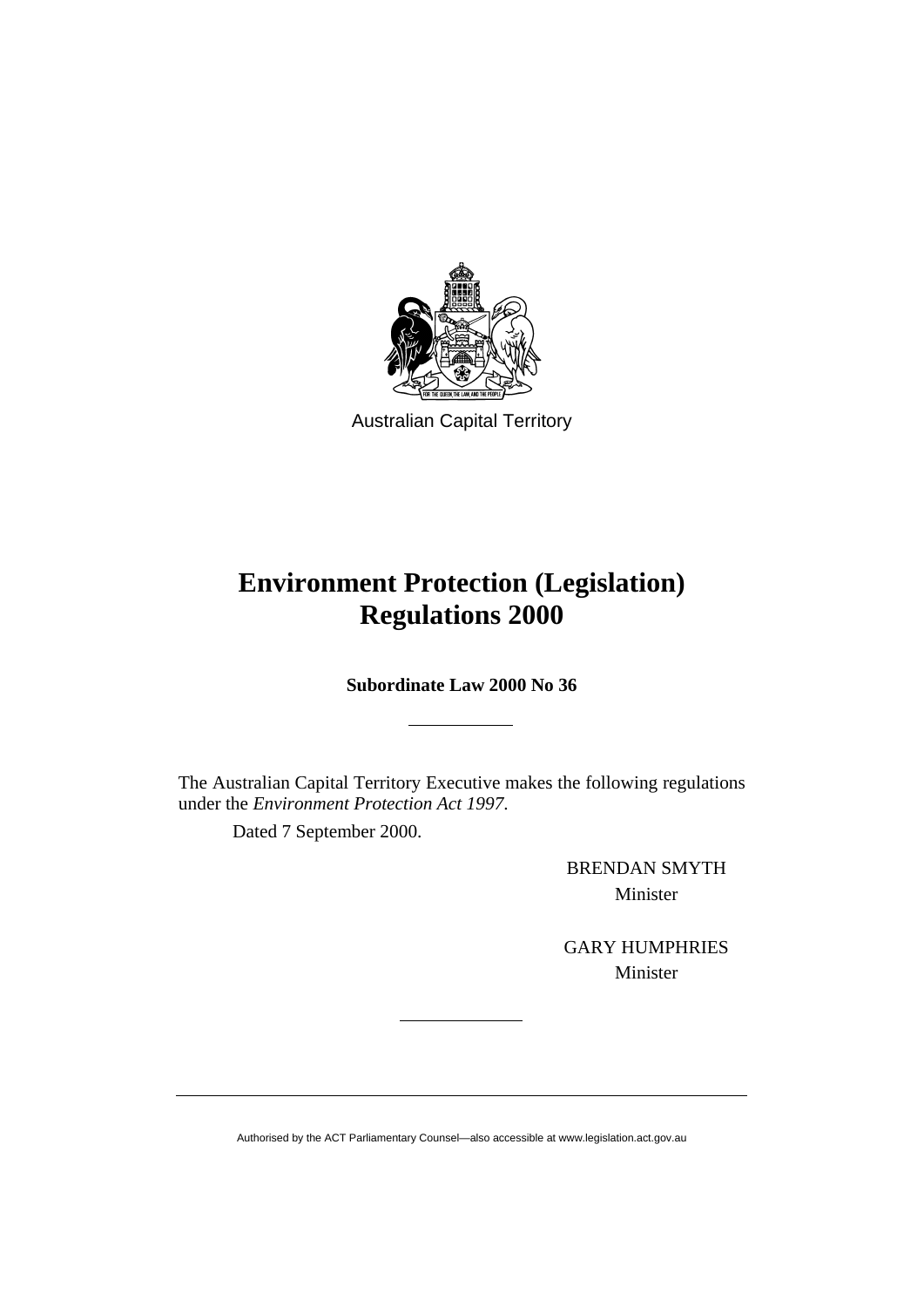

Australian Capital Territory

# **Environment Protection (Legislation) Regulations 2000**

**Subordinate Law 2000 No 36** 

The Australian Capital Territory Executive makes the following regulations under the *Environment Protection Act 1997*.

Dated 7 September 2000.

BRENDAN SMYTH Minister

GARY HUMPHRIES Minister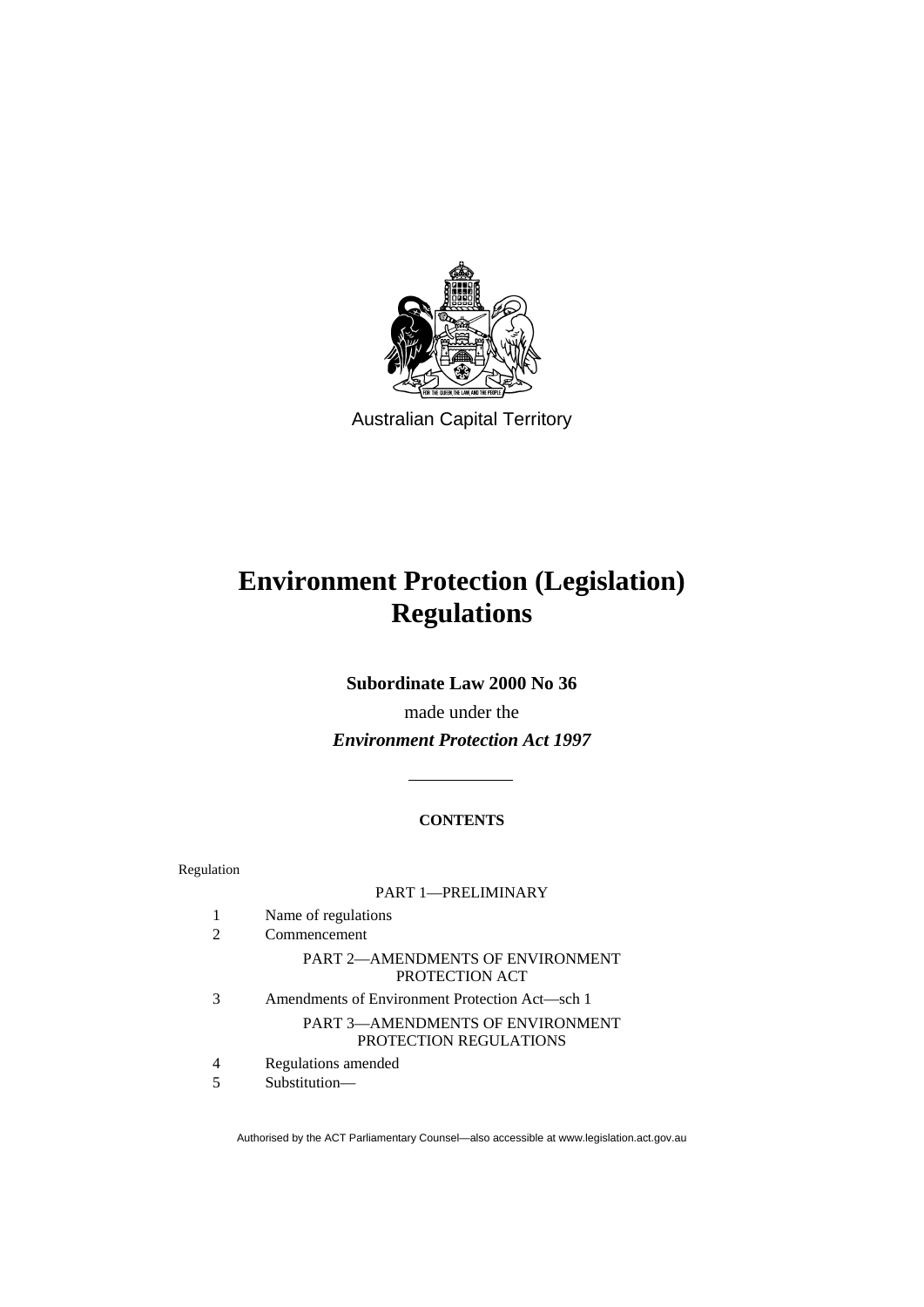

Australian Capital Territory

# **Environment Protection (Legislation) Regulations**

**Subordinate Law 2000 No 36** 

made under the *Environment Protection Act 1997*

## **CONTENTS**

| Regulation |                                                                   |
|------------|-------------------------------------------------------------------|
|            | <b>PART 1-PRELIMINARY</b>                                         |
| 1          | Name of regulations                                               |
| 2          | Commencement                                                      |
|            | PART 2—AMENDMENTS OF ENVIRONMENT<br>PROTECTION ACT                |
| 3          | Amendments of Environment Protection Act—sch 1                    |
|            | <b>PART 3—AMENDMENTS OF ENVIRONMENT</b><br>PROTECTION REGULATIONS |
| 4          | Regulations amended                                               |

5 Substitution—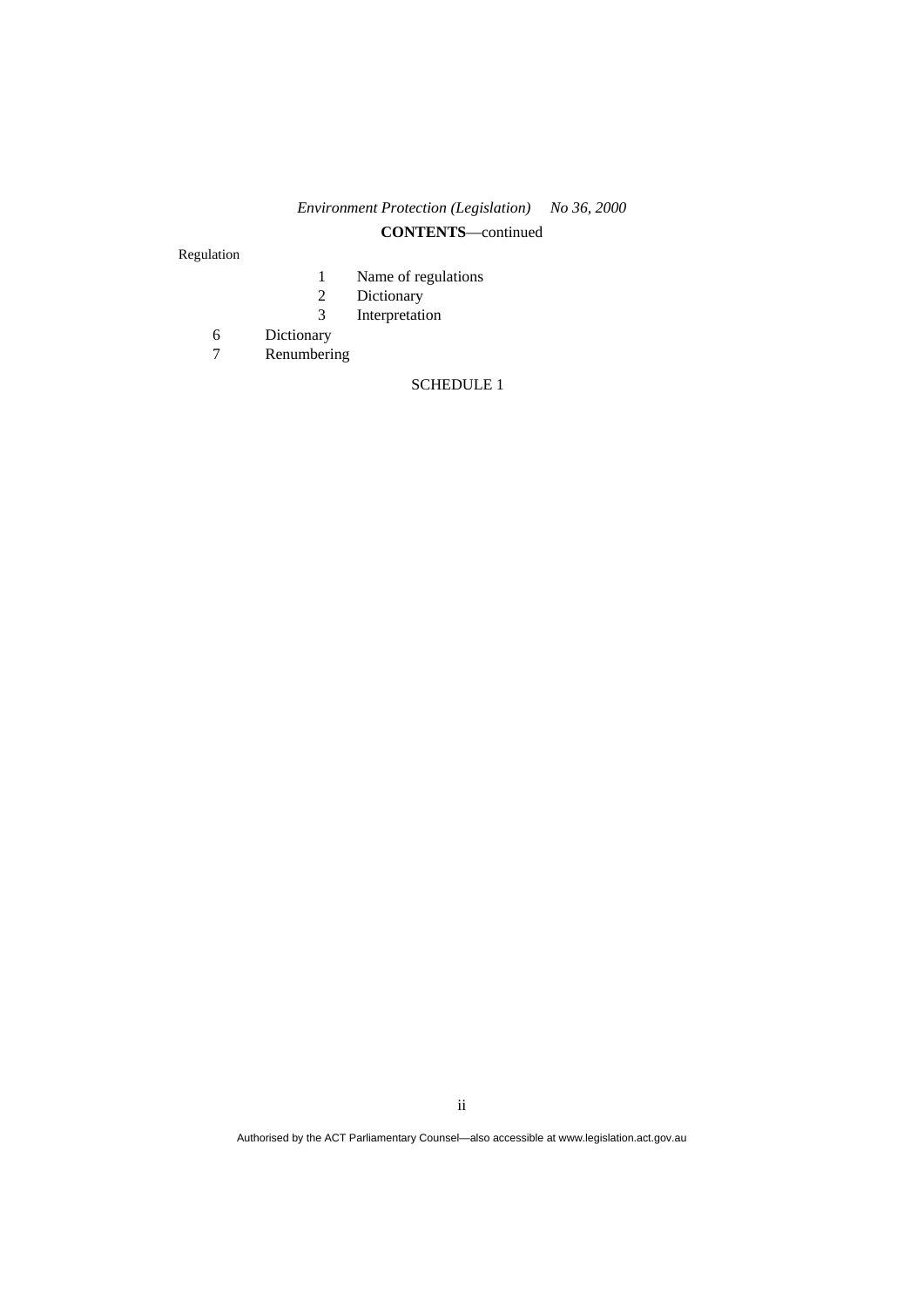# *Environment Protection (Legislation) No 36, 2000*  **CONTENTS**—continued

Regulation

- 1 Name of regulations
- 2 Dictionary<br>3 Interpretati
- 3 Interpretation
- Dictionary
- 7 Renumbering

#### SCHEDULE 1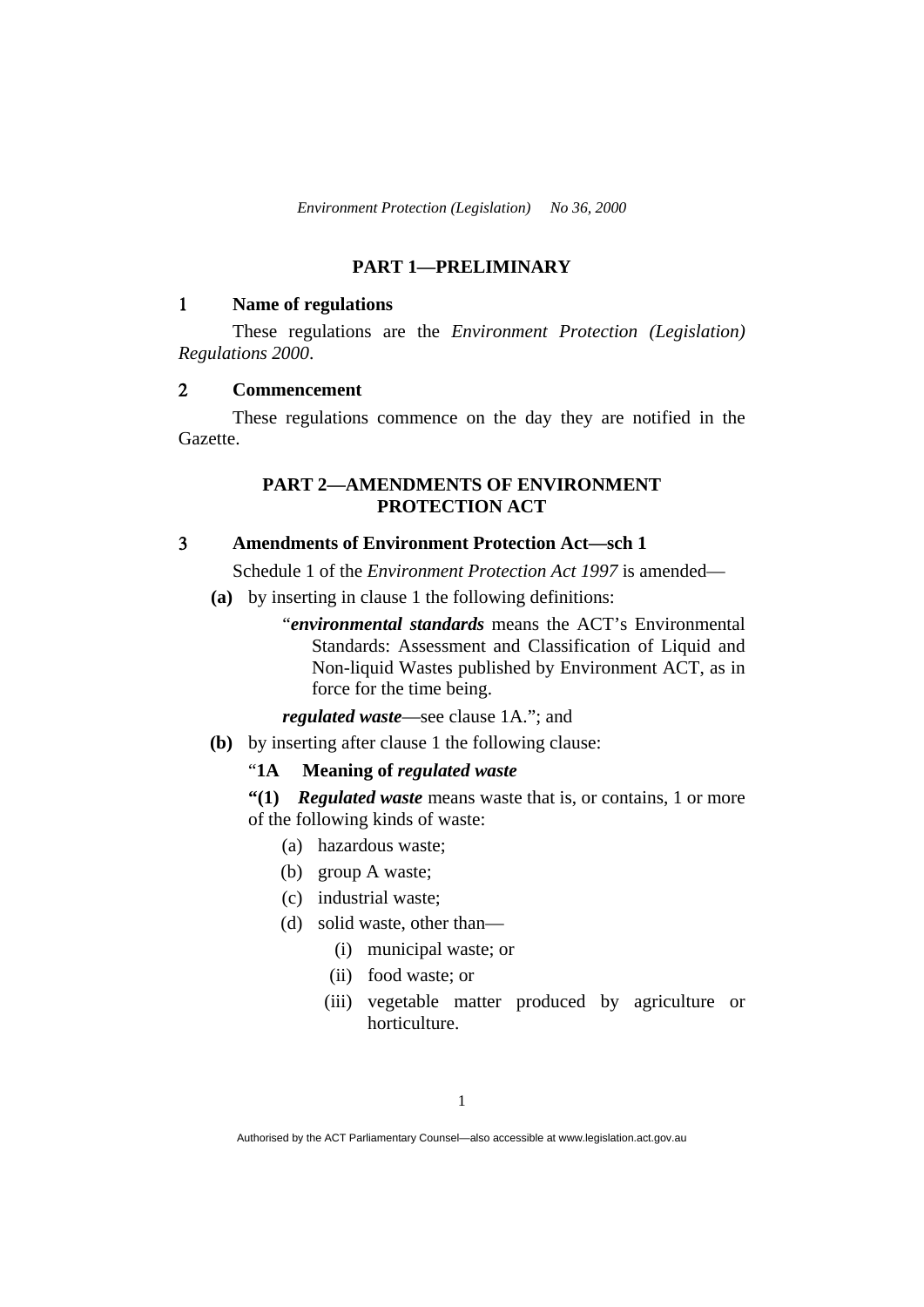## **PART 1—PRELIMINARY**

## 1 **Name of regulations**

 These regulations are the *Environment Protection (Legislation) Regulations 2000*.

#### 2 **Commencement**

 These regulations commence on the day they are notified in the Gazette.

# **PART 2—AMENDMENTS OF ENVIRONMENT PROTECTION ACT**

# 3 **Amendments of Environment Protection Act—sch 1**

Schedule 1 of the *Environment Protection Act 1997* is amended—

- **(a)** by inserting in clause 1 the following definitions:
	- "*environmental standards* means the ACT's Environmental Standards: Assessment and Classification of Liquid and Non-liquid Wastes published by Environment ACT, as in force for the time being.

*regulated waste*—see clause 1A."; and

**(b)** by inserting after clause 1 the following clause:

#### "**1A Meaning of** *regulated waste*

**"(1)** *Regulated waste* means waste that is, or contains, 1 or more of the following kinds of waste:

- (a) hazardous waste;
- (b) group A waste;
- (c) industrial waste;
- (d) solid waste, other than—
	- (i) municipal waste; or
	- (ii) food waste; or
	- (iii) vegetable matter produced by agriculture or horticulture.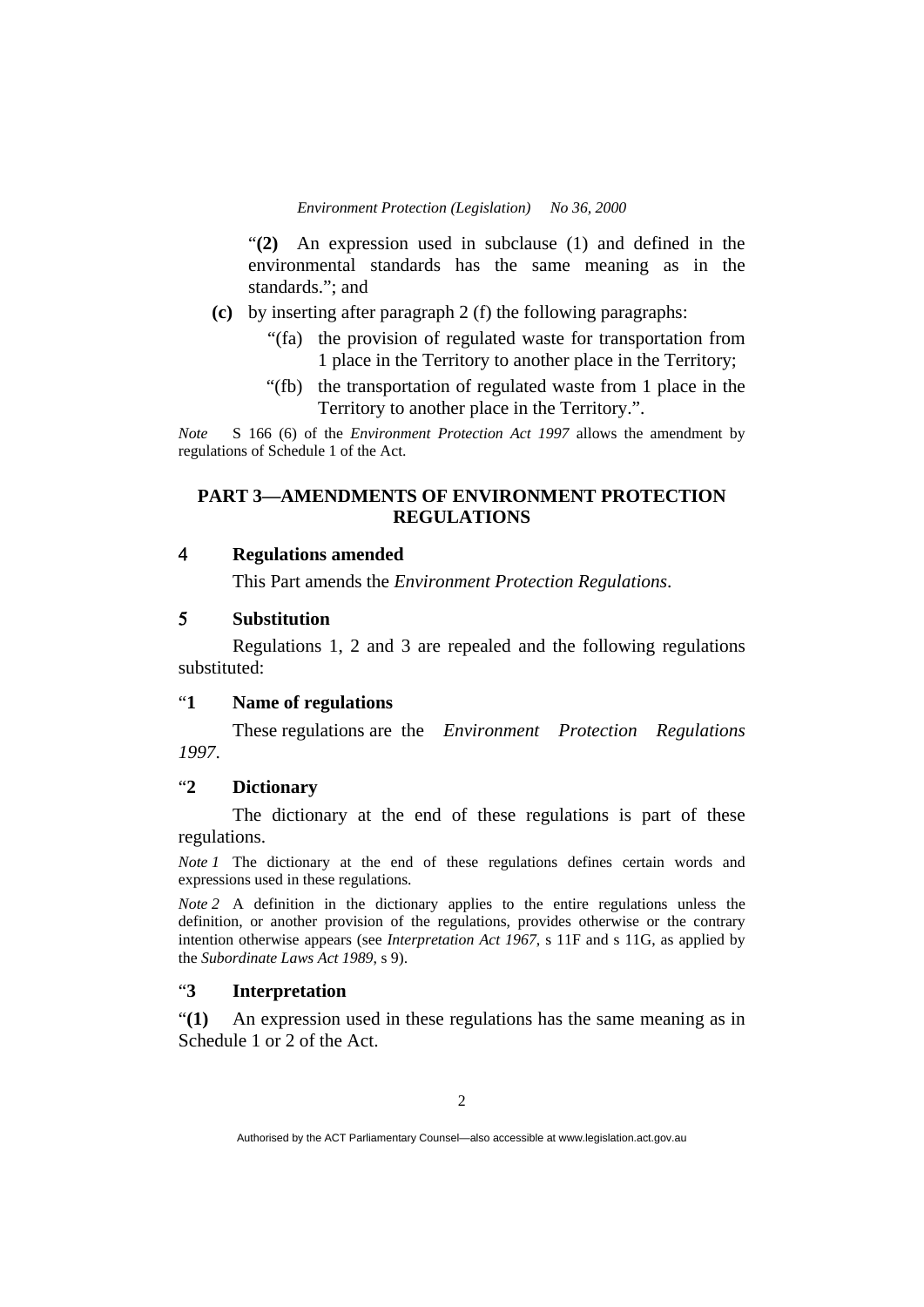"**(2)** An expression used in subclause (1) and defined in the environmental standards has the same meaning as in the standards."; and

- **(c)** by inserting after paragraph 2 (f) the following paragraphs:
	- "(fa) the provision of regulated waste for transportation from 1 place in the Territory to another place in the Territory;
	- "(fb) the transportation of regulated waste from 1 place in the Territory to another place in the Territory.".

*Note* S 166 (6) of the *Environment Protection Act 1997* allows the amendment by regulations of Schedule 1 of the Act.

## **PART 3—AMENDMENTS OF ENVIRONMENT PROTECTION REGULATIONS**

## 4 **Regulations amended**

This Part amends the *Environment Protection Regulations*.

#### 5 **Substitution**

 Regulations 1, 2 and 3 are repealed and the following regulations substituted:

#### "**1 Name of regulations**

 These regulations are the *Environment Protection Regulations 1997*.

## "**2 Dictionary**

 The dictionary at the end of these regulations is part of these regulations.

*Note 1* The dictionary at the end of these regulations defines certain words and expressions used in these regulations.

*Note 2* A definition in the dictionary applies to the entire regulations unless the definition, or another provision of the regulations, provides otherwise or the contrary intention otherwise appears (see *Interpretation Act 1967*, s 11F and s 11G, as applied by the *Subordinate Laws Act 1989*, s 9).

### "**3 Interpretation**

"**(1)** An expression used in these regulations has the same meaning as in Schedule 1 or 2 of the Act.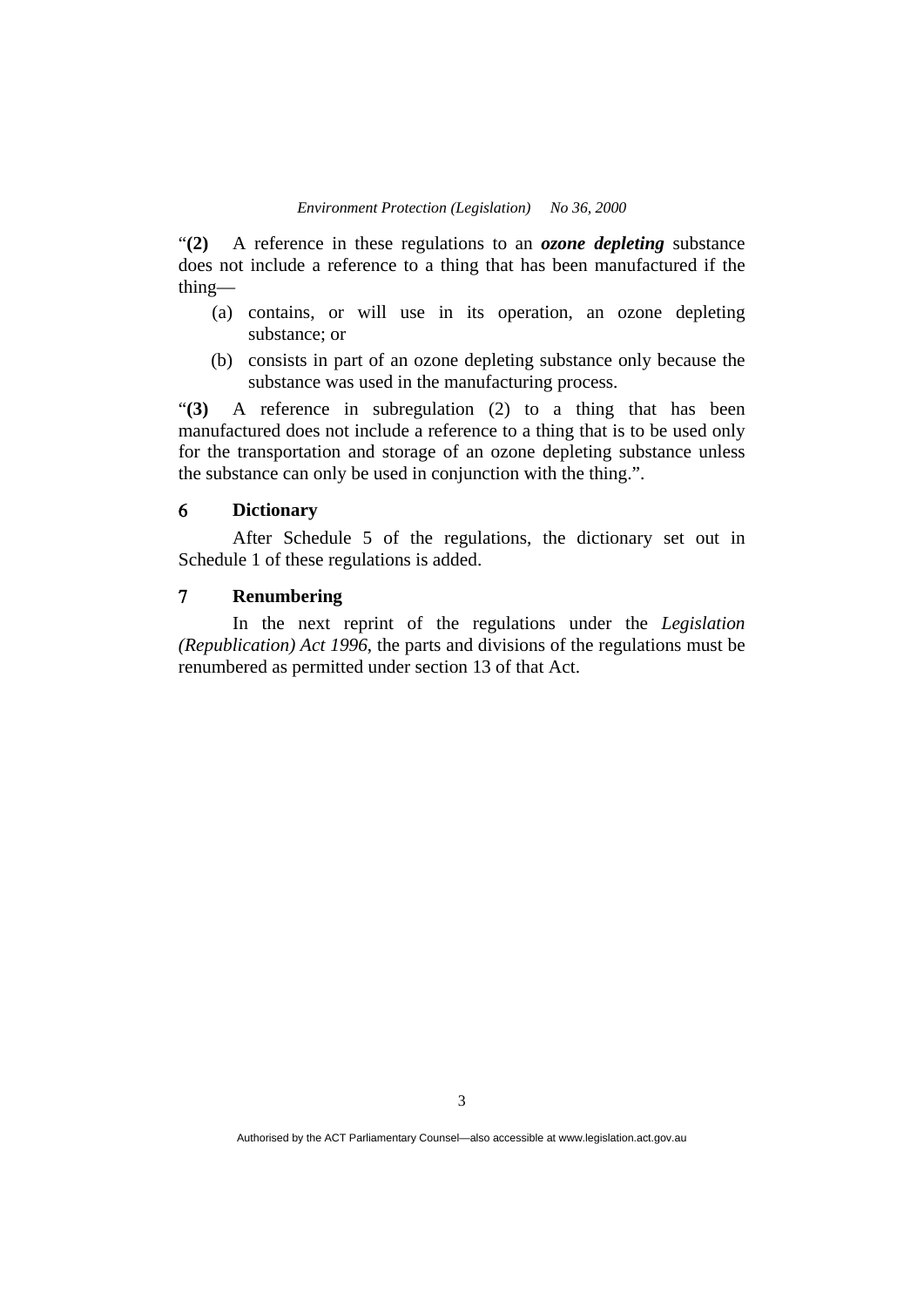"**(2)** A reference in these regulations to an *ozone depleting* substance does not include a reference to a thing that has been manufactured if the thing—

- (a) contains, or will use in its operation, an ozone depleting substance; or
- (b) consists in part of an ozone depleting substance only because the substance was used in the manufacturing process.

"**(3)** A reference in subregulation (2) to a thing that has been manufactured does not include a reference to a thing that is to be used only for the transportation and storage of an ozone depleting substance unless the substance can only be used in conjunction with the thing.".

### 6 **Dictionary**

 After Schedule 5 of the regulations, the dictionary set out in Schedule 1 of these regulations is added.

## 7 **Renumbering**

 In the next reprint of the regulations under the *Legislation (Republication) Act 1996*, the parts and divisions of the regulations must be renumbered as permitted under section 13 of that Act.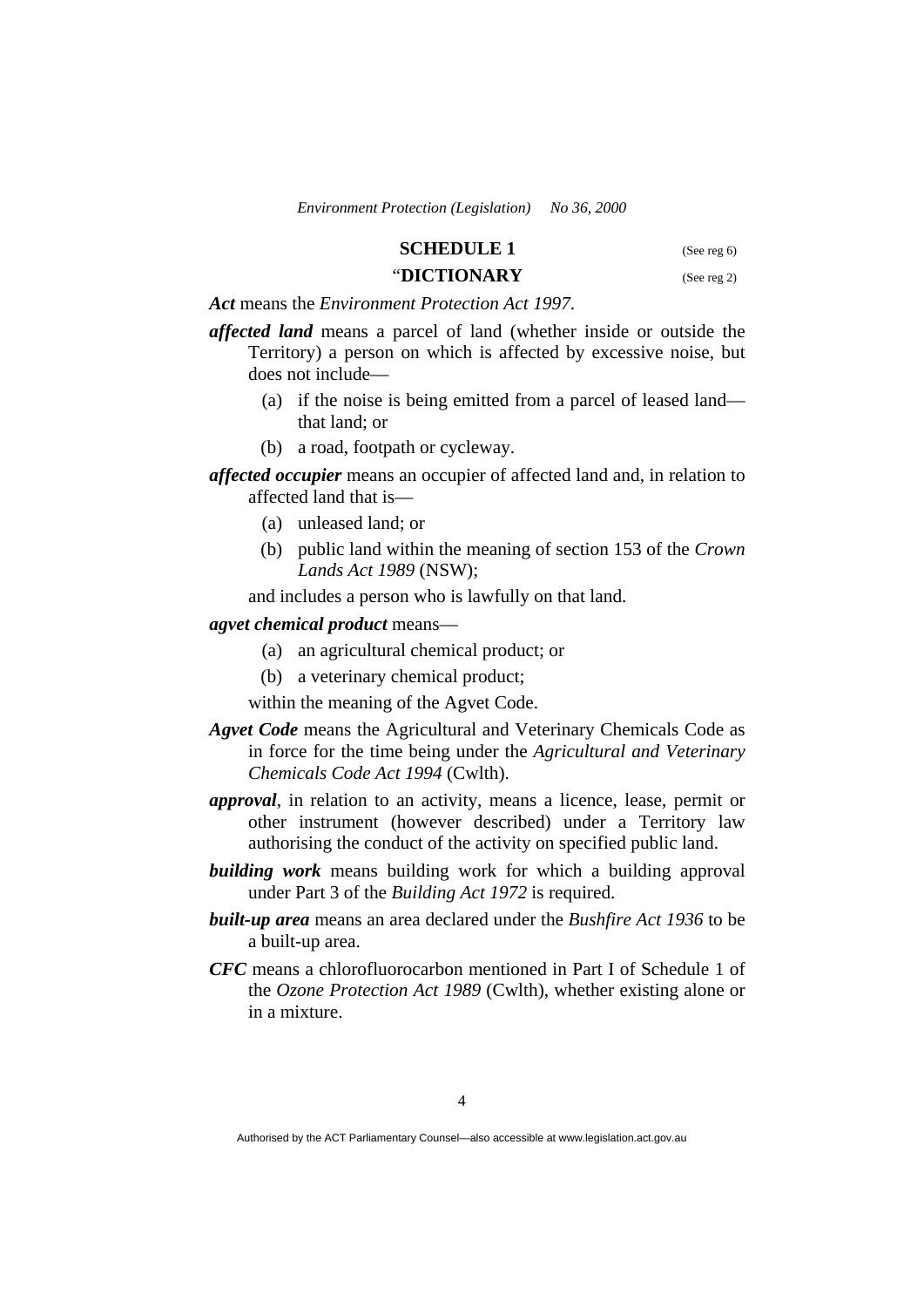#### **SCHEDULE 1** (See reg 6)

#### "**DICTIONARY** (See reg 2)

*Act* means the *Environment Protection Act 1997*.

- *affected land* means a parcel of land (whether inside or outside the Territory) a person on which is affected by excessive noise, but does not include—
	- (a) if the noise is being emitted from a parcel of leased land that land; or
	- (b) a road, footpath or cycleway.
- *affected occupier* means an occupier of affected land and, in relation to affected land that is—
	- (a) unleased land; or
	- (b) public land within the meaning of section 153 of the *Crown Lands Act 1989* (NSW);

and includes a person who is lawfully on that land.

#### *agvet chemical product* means—

- (a) an agricultural chemical product; or
- (b) a veterinary chemical product;
- within the meaning of the Agvet Code.
- *Agvet Code* means the Agricultural and Veterinary Chemicals Code as in force for the time being under the *Agricultural and Veterinary Chemicals Code Act 1994* (Cwlth).
- *approval*, in relation to an activity, means a licence, lease, permit or other instrument (however described) under a Territory law authorising the conduct of the activity on specified public land.
- *building work* means building work for which a building approval under Part 3 of the *Building Act 1972* is required.
- *built-up area* means an area declared under the *Bushfire Act 1936* to be a built-up area.
- *CFC* means a chlorofluorocarbon mentioned in Part I of Schedule 1 of the *Ozone Protection Act 1989* (Cwlth), whether existing alone or in a mixture.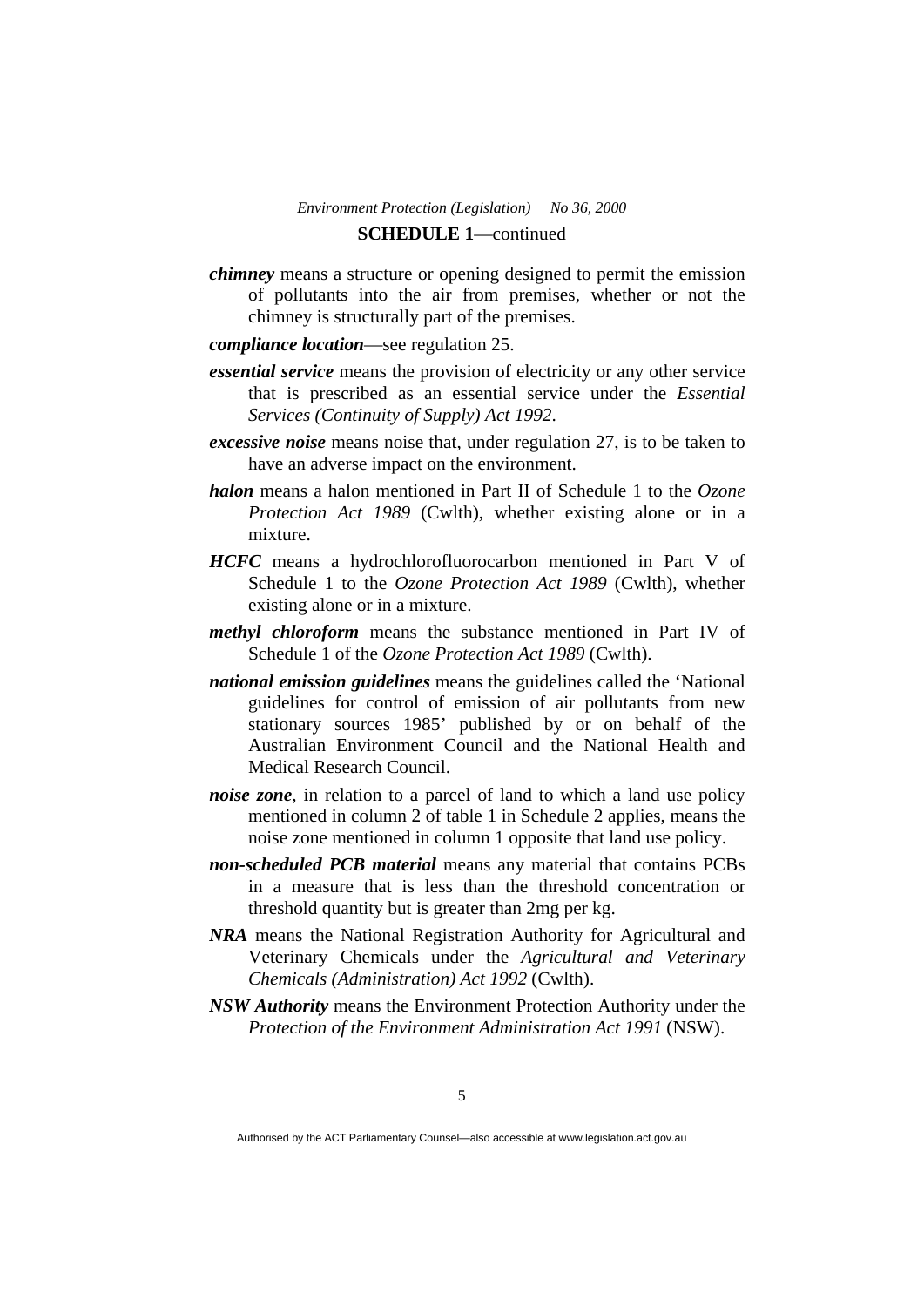## *Environment Protection (Legislation) No 36, 2000*  **SCHEDULE 1**—continued

- *chimney* means a structure or opening designed to permit the emission of pollutants into the air from premises, whether or not the chimney is structurally part of the premises.
- *compliance location*—see regulation 25.
- *essential service* means the provision of electricity or any other service that is prescribed as an essential service under the *Essential Services (Continuity of Supply) Act 1992*.
- *excessive noise* means noise that, under regulation 27, is to be taken to have an adverse impact on the environment.
- *halon* means a halon mentioned in Part II of Schedule 1 to the *Ozone Protection Act 1989* (Cwlth), whether existing alone or in a mixture.
- *HCFC* means a hydrochlorofluorocarbon mentioned in Part V of Schedule 1 to the *Ozone Protection Act 1989* (Cwlth), whether existing alone or in a mixture.
- *methyl chloroform* means the substance mentioned in Part IV of Schedule 1 of the *Ozone Protection Act 1989* (Cwlth).
- *national emission guidelines* means the guidelines called the 'National guidelines for control of emission of air pollutants from new stationary sources 1985' published by or on behalf of the Australian Environment Council and the National Health and Medical Research Council.
- *noise zone*, in relation to a parcel of land to which a land use policy mentioned in column 2 of table 1 in Schedule 2 applies, means the noise zone mentioned in column 1 opposite that land use policy.
- *non-scheduled PCB material* means any material that contains PCBs in a measure that is less than the threshold concentration or threshold quantity but is greater than 2mg per kg.
- *NRA* means the National Registration Authority for Agricultural and Veterinary Chemicals under the *Agricultural and Veterinary Chemicals (Administration) Act 1992* (Cwlth).
- *NSW Authority* means the Environment Protection Authority under the *Protection of the Environment Administration Act 1991* (NSW).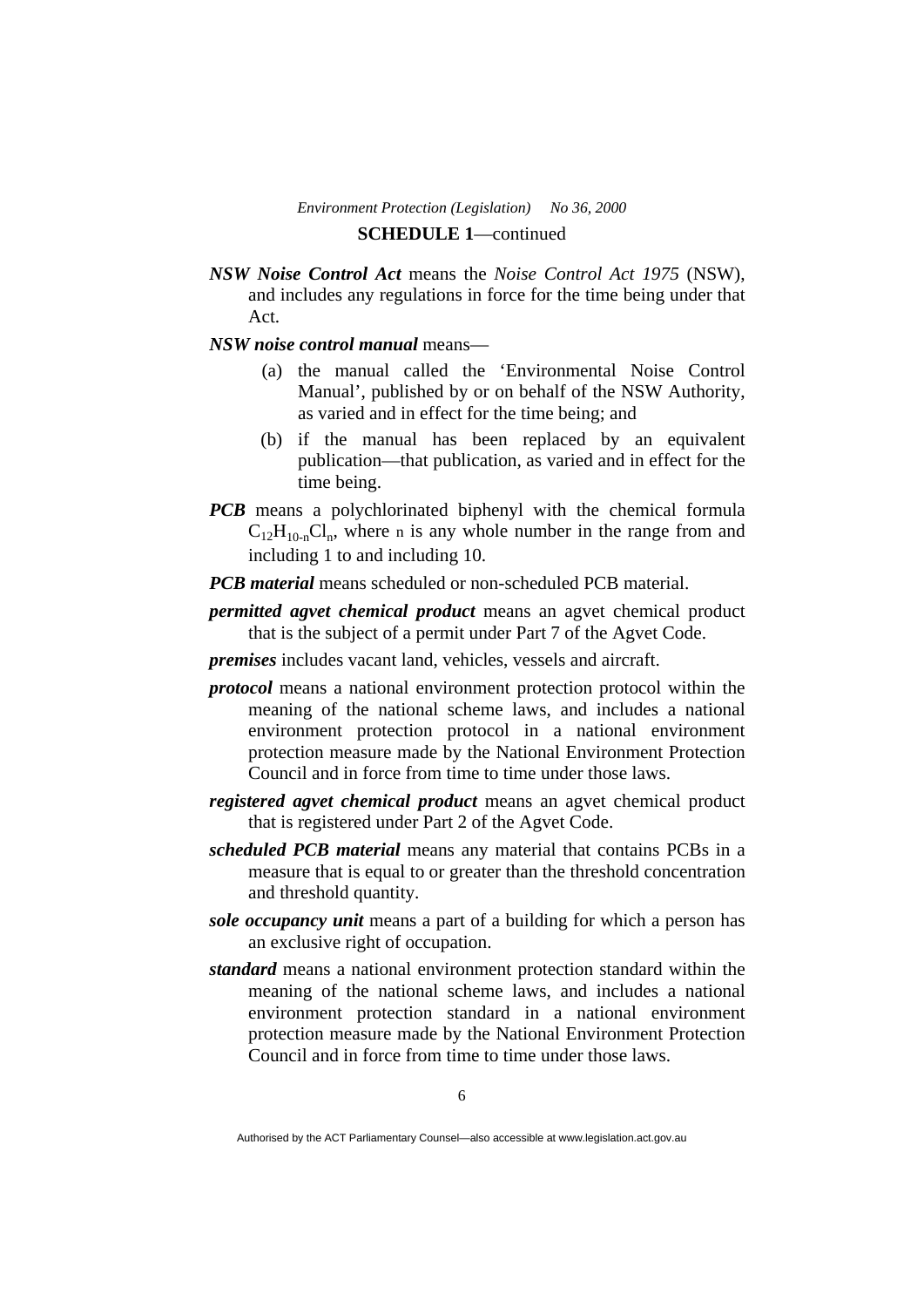## *Environment Protection (Legislation) No 36, 2000*  **SCHEDULE 1**—continued

- *NSW Noise Control Act* means the *Noise Control Act 1975* (NSW), and includes any regulations in force for the time being under that Act.
- *NSW noise control manual* means—
	- (a) the manual called the 'Environmental Noise Control Manual', published by or on behalf of the NSW Authority, as varied and in effect for the time being; and
	- (b) if the manual has been replaced by an equivalent publication—that publication, as varied and in effect for the time being.
- *PCB* means a polychlorinated biphenyl with the chemical formula  $C_{12}H_{10n}Cl_n$ , where n is any whole number in the range from and including 1 to and including 10.
- *PCB material* means scheduled or non-scheduled PCB material.
- *permitted agvet chemical product* means an agvet chemical product that is the subject of a permit under Part 7 of the Agvet Code.
- *premises* includes vacant land, vehicles, vessels and aircraft.
- *protocol* means a national environment protection protocol within the meaning of the national scheme laws, and includes a national environment protection protocol in a national environment protection measure made by the National Environment Protection Council and in force from time to time under those laws.
- *registered agvet chemical product* means an agvet chemical product that is registered under Part 2 of the Agvet Code.
- *scheduled PCB material* means any material that contains PCBs in a measure that is equal to or greater than the threshold concentration and threshold quantity.
- *sole occupancy unit* means a part of a building for which a person has an exclusive right of occupation.
- *standard* means a national environment protection standard within the meaning of the national scheme laws, and includes a national environment protection standard in a national environment protection measure made by the National Environment Protection Council and in force from time to time under those laws.